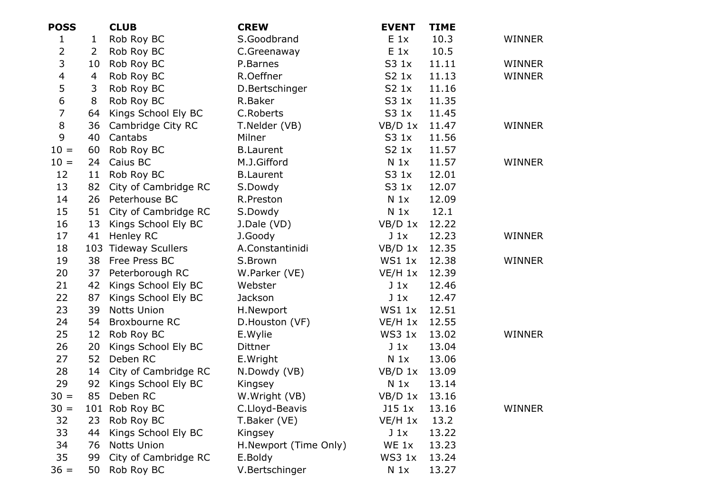| <b>POSS</b>             |                | <b>CLUB</b>          | <b>CREW</b>           | <b>EVENT</b>     | <b>TIME</b> |               |
|-------------------------|----------------|----------------------|-----------------------|------------------|-------------|---------------|
| $\mathbf{1}$            | $\mathbf{1}$   | Rob Roy BC           | S.Goodbrand           | $E_1$            | 10.3        | <b>WINNER</b> |
| $\overline{2}$          | $\overline{2}$ | Rob Roy BC           | C.Greenaway           | $E_1$            | 10.5        |               |
| 3                       | 10             | Rob Roy BC           | P.Barnes              | S3 1x            | 11.11       | WINNER        |
| $\overline{\mathbf{4}}$ | 4              | Rob Roy BC           | R.Oeffner             | S2 1x            | 11.13       | WINNER        |
| 5                       | 3              | Rob Roy BC           | D.Bertschinger        | S2 <sub>1x</sub> | 11.16       |               |
| 6                       | 8              | Rob Roy BC           | R.Baker               | S3 1x            | 11.35       |               |
| $\overline{7}$          | 64             | Kings School Ely BC  | C.Roberts             | S3 1x            | 11.45       |               |
| 8                       | 36             | Cambridge City RC    | T.Nelder (VB)         | $VB/D$ 1x        | 11.47       | WINNER        |
| 9                       | 40             | Cantabs              | Milner                | S3 1x            | 11.56       |               |
| $10 =$                  | 60             | Rob Roy BC           | <b>B.Laurent</b>      | S2 1x            | 11.57       |               |
| $10 =$                  | 24             | Caius BC             | M.J.Gifford           | N <sub>1x</sub>  | 11.57       | WINNER        |
| 12                      | 11             | Rob Roy BC           | <b>B.Laurent</b>      | S3 1x            | 12.01       |               |
| 13                      | 82             | City of Cambridge RC | S.Dowdy               | S3 1x            | 12.07       |               |
| 14                      | 26             | Peterhouse BC        | R.Preston             | N <sub>1x</sub>  | 12.09       |               |
| 15                      | 51             | City of Cambridge RC | S.Dowdy               | N <sub>1x</sub>  | 12.1        |               |
| 16                      | 13             | Kings School Ely BC  | J.Dale (VD)           | $VB/D$ 1x        | 12.22       |               |
| 17                      | 41             | Henley RC            | J.Goody               | $J_1x$           | 12.23       | <b>WINNER</b> |
| 18                      |                | 103 Tideway Scullers | A.Constantinidi       | $VB/D$ 1x        | 12.35       |               |
| 19                      | 38             | Free Press BC        | S.Brown               | WS1 1x           | 12.38       | <b>WINNER</b> |
| 20                      |                | 37 Peterborough RC   | W.Parker (VE)         | $VE/H$ 1x        | 12.39       |               |
| 21                      | 42             | Kings School Ely BC  | Webster               | $J_1x$           | 12.46       |               |
| 22                      | 87             | Kings School Ely BC  | Jackson               | $J_1x$           | 12.47       |               |
| 23                      | 39             | <b>Notts Union</b>   | H.Newport             | WS1 1x           | 12.51       |               |
| 24                      | 54             | Broxbourne RC        | D.Houston (VF)        | $VE/H$ 1x        | 12.55       |               |
| 25                      | 12             | Rob Roy BC           | E.Wylie               | WS3 1x           | 13.02       | <b>WINNER</b> |
| 26                      | 20             | Kings School Ely BC  | <b>Dittner</b>        | $J_1x$           | 13.04       |               |
| 27                      | 52             | Deben RC             | E.Wright              | N <sub>1x</sub>  | 13.06       |               |
| 28                      | 14             | City of Cambridge RC | N.Dowdy (VB)          | $VB/D$ 1x        | 13.09       |               |
| 29                      | 92             | Kings School Ely BC  | Kingsey               | N <sub>1x</sub>  | 13.14       |               |
| $30 =$                  | 85             | Deben RC             | W.Wright (VB)         | $VB/D$ 1x        | 13.16       |               |
| $30 =$                  |                | 101 Rob Roy BC       | C.Lloyd-Beavis        | J15 1x           | 13.16       | WINNER        |
| 32                      | 23             | Rob Roy BC           | T.Baker (VE)          | $VE/H$ 1x        | 13.2        |               |
| 33                      | 44             | Kings School Ely BC  | Kingsey               | $J_1x$           | 13.22       |               |
| 34                      | 76             | <b>Notts Union</b>   | H.Newport (Time Only) | WE 1x            | 13.23       |               |
| 35                      | 99             | City of Cambridge RC | E.Boldy               | WS3 1x           | 13.24       |               |
| $36 =$                  | 50             | Rob Roy BC           | V.Bertschinger        | N <sub>1x</sub>  | 13.27       |               |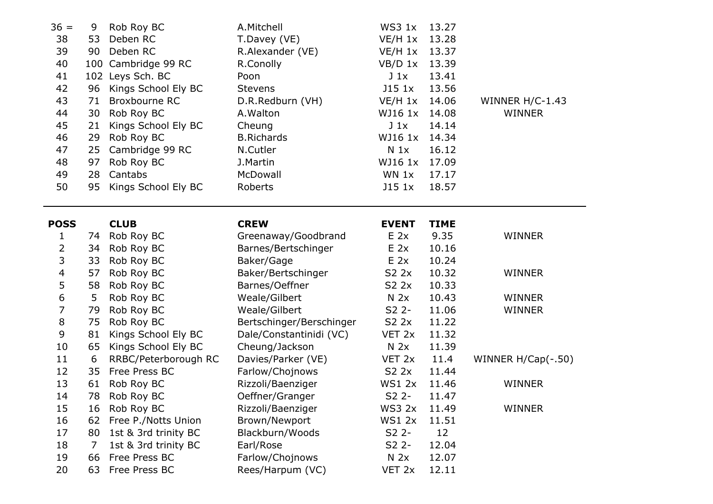| $36 =$         | 9  | Rob Roy BC           | A.Mitchell               | WS3 1x          | 13.27       |                      |
|----------------|----|----------------------|--------------------------|-----------------|-------------|----------------------|
| 38             | 53 | Deben RC             | T.Davey (VE)             | $VE/H$ 1x       | 13.28       |                      |
| 39             | 90 | Deben RC             | R.Alexander (VE)         | $VE/H$ 1x       | 13.37       |                      |
| 40             |    | 100 Cambridge 99 RC  | R.Conolly                | $VB/D$ 1x       | 13.39       |                      |
| 41             |    | 102 Leys Sch. BC     | Poon                     | $J_1x$          | 13.41       |                      |
| 42             | 96 | Kings School Ely BC  | <b>Stevens</b>           | $J15$ $1x$      | 13.56       |                      |
| 43             | 71 | Broxbourne RC        | D.R.Redburn (VH)         | $VE/H$ 1x       | 14.06       | WINNER $H/C-1.43$    |
| 44             | 30 | Rob Roy BC           | A. Walton                | WJ16 1x         | 14.08       | <b>WINNER</b>        |
| 45             | 21 | Kings School Ely BC  | Cheung                   | $J_1x$          | 14.14       |                      |
| 46             | 29 | Rob Roy BC           | <b>B.Richards</b>        | WJ16 1x         | 14.34       |                      |
| 47             | 25 | Cambridge 99 RC      | N.Cutler                 | $N_1x$          | 16.12       |                      |
| 48             | 97 | Rob Roy BC           | J.Martin                 | WJ16 1x         | 17.09       |                      |
| 49             | 28 | Cantabs              | McDowall                 | WN 1x           | 17.17       |                      |
| 50             | 95 | Kings School Ely BC  | Roberts                  | $J15$ $1x$      | 18.57       |                      |
|                |    |                      |                          |                 |             |                      |
| <b>POSS</b>    |    | <b>CLUB</b>          | <b>CREW</b>              | <b>EVENT</b>    | <b>TIME</b> |                      |
| 1              | 74 | Rob Roy BC           | Greenaway/Goodbrand      | $E$ 2x          | 9.35        | <b>WINNER</b>        |
| $\overline{2}$ | 34 | Rob Roy BC           | Barnes/Bertschinger      | $E$ 2x          | 10.16       |                      |
| 3              | 33 | Rob Roy BC           | Baker/Gage               | $E$ 2x          | 10.24       |                      |
| 4              | 57 | Rob Roy BC           | Baker/Bertschinger       | S2 2x           | 10.32       | <b>WINNER</b>        |
| 5              | 58 | Rob Roy BC           | Barnes/Oeffner           | S2 2x           | 10.33       |                      |
| 6              | 5  | Rob Roy BC           | Weale/Gilbert            | N <sub>2x</sub> | 10.43       | <b>WINNER</b>        |
| $\overline{7}$ | 79 | Rob Roy BC           | Weale/Gilbert            | $S2$ 2-         | 11.06       | <b>WINNER</b>        |
| 8              | 75 | Rob Roy BC           | Bertschinger/Berschinger | S2 2x           | 11.22       |                      |
| 9              | 81 | Kings School Ely BC  | Dale/Constantinidi (VC)  | VET 2x          | 11.32       |                      |
| 10             | 65 | Kings School Ely BC  | Cheung/Jackson           | N <sub>2x</sub> | 11.39       |                      |
| 11             | 6  | RRBC/Peterborough RC | Davies/Parker (VE)       | VET 2x          | 11.4        | WINNER $H/Cap(-.50)$ |
| 12             | 35 | Free Press BC        | Farlow/Chojnows          | S2 2x           | 11.44       |                      |
| 13             | 61 | Rob Roy BC           | Rizzoli/Baenziger        | <b>WS1 2x</b>   | 11.46       | <b>WINNER</b>        |
| 14             | 78 | Rob Roy BC           | Oeffner/Granger          | $S2$ 2-         | 11.47       |                      |
| 15             | 16 | Rob Roy BC           | Rizzoli/Baenziger        | WS3 2x          | 11.49       | <b>WINNER</b>        |
| 16             | 62 | Free P./Notts Union  | Brown/Newport            | <b>WS1 2x</b>   | 11.51       |                      |
| 17             |    | 1st & 3rd trinity BC | Blackburn/Woods          | $S22 -$         | 12          |                      |
|                | 80 |                      |                          |                 |             |                      |
| 18             | 7  | 1st & 3rd trinity BC | Earl/Rose                | $S2$ 2-         | 12.04       |                      |
| 19             | 66 | Free Press BC        | Farlow/Chojnows          | N <sub>2x</sub> | 12.07       |                      |